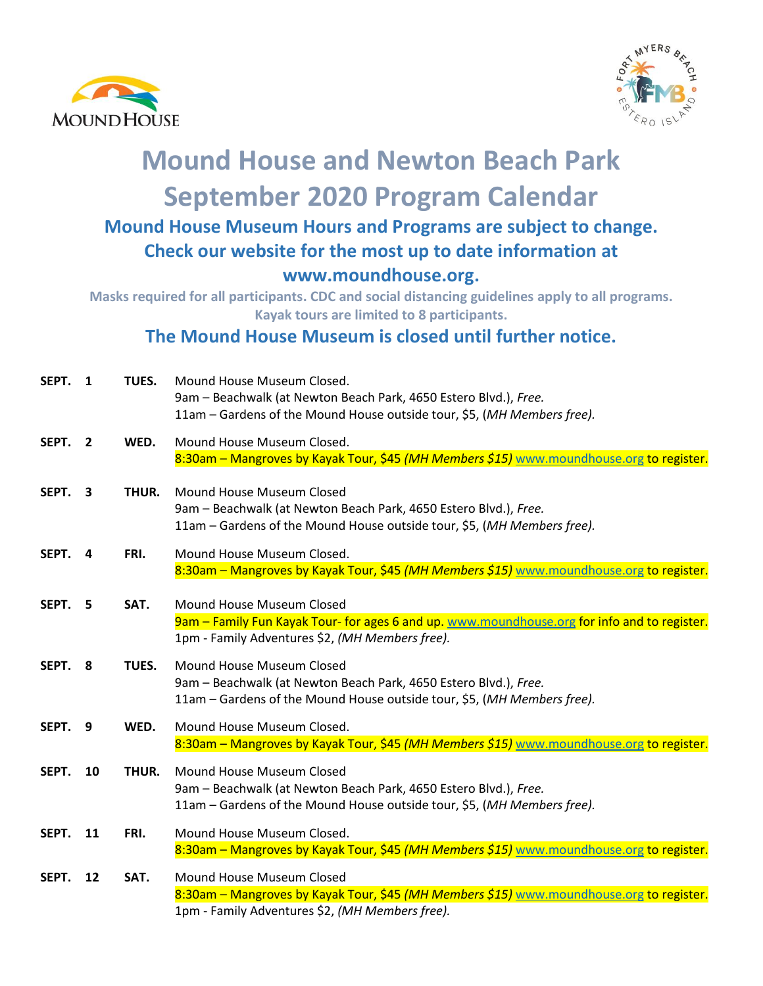



## **Mound House and Newton Beach Park September 2020 Program Calendar Mound House Museum Hours and Programs are subject to change. Check our website for the most up to date information at www.moundhouse.org.**

**Masks required for all participants. CDC and social distancing guidelines apply to all programs. Kayak tours are limited to 8 participants.** 

**The Mound House Museum is closed until further notice.**

| SEPT. | 1              | TUES. | Mound House Museum Closed.<br>9am - Beachwalk (at Newton Beach Park, 4650 Estero Blvd.), Free.<br>11am - Gardens of the Mound House outside tour, \$5, (MH Members free).    |
|-------|----------------|-------|------------------------------------------------------------------------------------------------------------------------------------------------------------------------------|
| SEPT. | $\overline{2}$ | WED.  | Mound House Museum Closed.<br>8:30am - Mangroves by Kayak Tour, \$45 (MH Members \$15) www.moundhouse.org to register.                                                       |
| SEPT. | 3              | THUR. | Mound House Museum Closed<br>9am - Beachwalk (at Newton Beach Park, 4650 Estero Blvd.), Free.<br>11am - Gardens of the Mound House outside tour, \$5, (MH Members free).     |
| SEPT. | 4              | FRI.  | Mound House Museum Closed.<br>8:30am - Mangroves by Kayak Tour, \$45 (MH Members \$15) www.moundhouse.org to register.                                                       |
| SEPT. | -5             | SAT.  | Mound House Museum Closed<br>9am - Family Fun Kayak Tour- for ages 6 and up. www.moundhouse.org for info and to register.<br>1pm - Family Adventures \$2, (MH Members free). |
| SEPT. | 8              | TUES. | Mound House Museum Closed<br>9am - Beachwalk (at Newton Beach Park, 4650 Estero Blvd.), Free.<br>11am - Gardens of the Mound House outside tour, \$5, (MH Members free).     |
| SEPT. | 9              | WED.  | Mound House Museum Closed.<br>8:30am - Mangroves by Kayak Tour, \$45 (MH Members \$15) www.moundhouse.org to register.                                                       |
| SEPT. | 10             | THUR. | Mound House Museum Closed<br>9am - Beachwalk (at Newton Beach Park, 4650 Estero Blvd.), Free.<br>11am - Gardens of the Mound House outside tour, \$5, (MH Members free).     |
| SEPT. | 11             | FRI.  | Mound House Museum Closed.<br>8:30am - Mangroves by Kayak Tour, \$45 (MH Members \$15) www.moundhouse.org to register.                                                       |
| SEPT. | 12             | SAT.  | Mound House Museum Closed<br>8:30am - Mangroves by Kayak Tour, \$45 (MH Members \$15) www.moundhouse.org to register.<br>1pm - Family Adventures \$2, (MH Members free).     |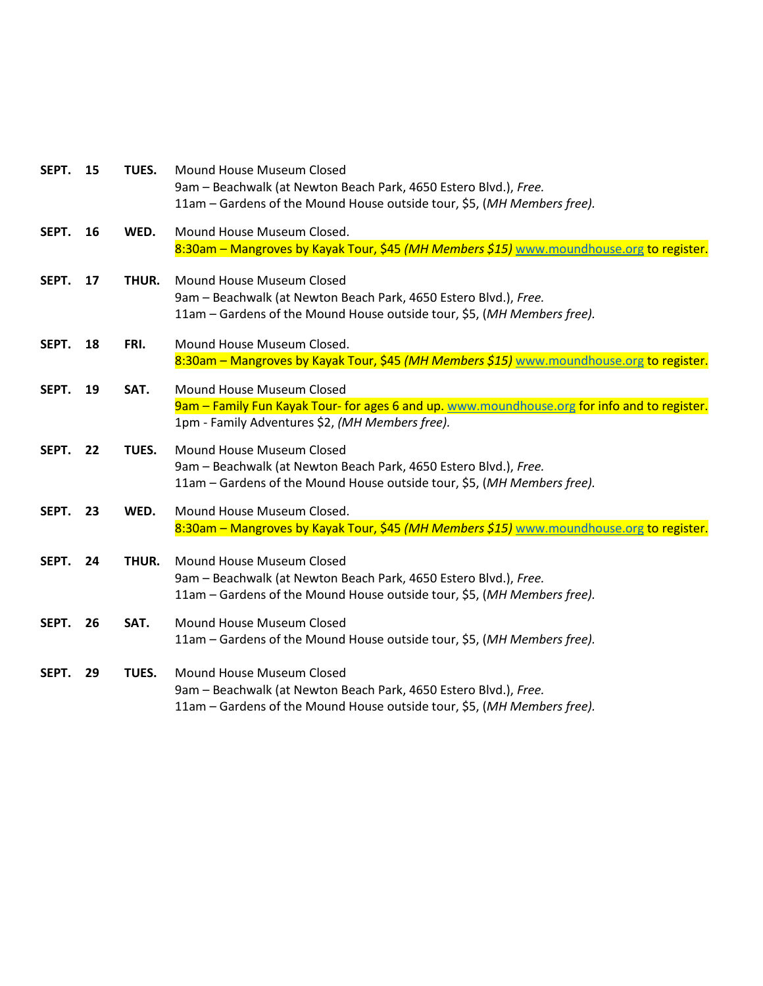| SEPT. | 15 | TUES. | Mound House Museum Closed<br>9am - Beachwalk (at Newton Beach Park, 4650 Estero Blvd.), Free.<br>11am - Gardens of the Mound House outside tour, \$5, (MH Members free).     |
|-------|----|-------|------------------------------------------------------------------------------------------------------------------------------------------------------------------------------|
| SEPT. | 16 | WED.  | Mound House Museum Closed.<br>8:30am – Mangroves by Kayak Tour, \$45 (MH Members \$15) www.moundhouse.org to register.                                                       |
| SEPT. | 17 | THUR. | Mound House Museum Closed<br>9am - Beachwalk (at Newton Beach Park, 4650 Estero Blvd.), Free.<br>11am - Gardens of the Mound House outside tour, \$5, (MH Members free).     |
| SEPT. | 18 | FRI.  | Mound House Museum Closed.<br>8:30am - Mangroves by Kayak Tour, \$45 (MH Members \$15) www.moundhouse.org to register.                                                       |
| SEPT. | 19 | SAT.  | Mound House Museum Closed<br>9am - Family Fun Kayak Tour- for ages 6 and up. www.moundhouse.org for info and to register.<br>1pm - Family Adventures \$2, (MH Members free). |
| SEPT. | 22 | TUES. | Mound House Museum Closed<br>9am - Beachwalk (at Newton Beach Park, 4650 Estero Blvd.), Free.<br>11am - Gardens of the Mound House outside tour, \$5, (MH Members free).     |
| SEPT. | 23 | WED.  | Mound House Museum Closed.<br>8:30am - Mangroves by Kayak Tour, \$45 (MH Members \$15) www.moundhouse.org to register.                                                       |
| SEPT. | 24 | THUR. | Mound House Museum Closed<br>9am - Beachwalk (at Newton Beach Park, 4650 Estero Blvd.), Free.<br>11am - Gardens of the Mound House outside tour, \$5, (MH Members free).     |
| SEPT. | 26 | SAT.  | Mound House Museum Closed<br>11am - Gardens of the Mound House outside tour, \$5, (MH Members free).                                                                         |
| SEPT. | 29 | TUES. | Mound House Museum Closed<br>9am - Beachwalk (at Newton Beach Park, 4650 Estero Blvd.), Free.<br>11am - Gardens of the Mound House outside tour, \$5, (MH Members free).     |